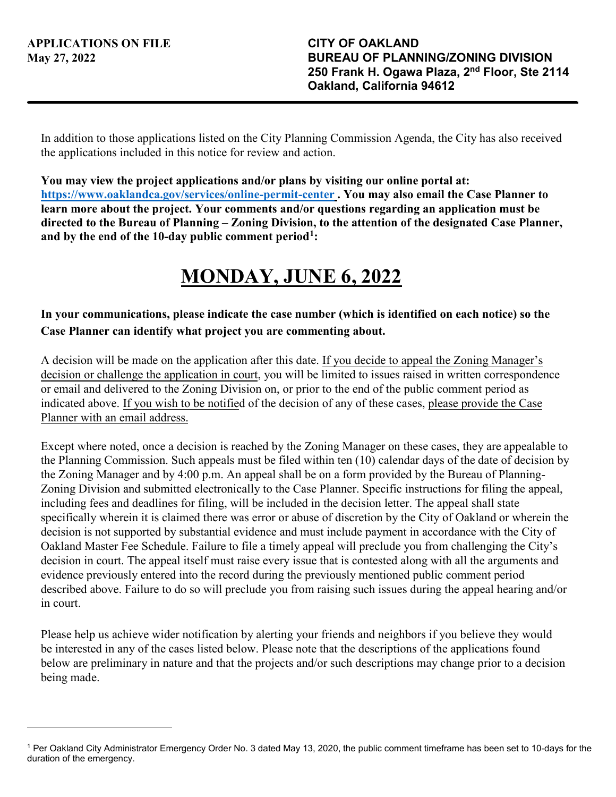In addition to those applications listed on the City Planning Commission Agenda, the City has also received the applications included in this notice for review and action.

**You may view the project applications and/or plans by visiting our online portal at: <https://www.oaklandca.gov/services/online-permit-center>. You may also email the Case Planner to learn more about the project. Your comments and/or questions regarding an application must be directed to the Bureau of Planning – Zoning Division, to the attention of the designated Case Planner, and by the end of the 10-day public comment period[1](#page-0-0):** 

## **MONDAY, JUNE 6, 2022**

## **In your communications, please indicate the case number (which is identified on each notice) so the Case Planner can identify what project you are commenting about.**

A decision will be made on the application after this date. If you decide to appeal the Zoning Manager's decision or challenge the application in court, you will be limited to issues raised in written correspondence or email and delivered to the Zoning Division on, or prior to the end of the public comment period as indicated above. If you wish to be notified of the decision of any of these cases, please provide the Case Planner with an email address.

Except where noted, once a decision is reached by the Zoning Manager on these cases, they are appealable to the Planning Commission. Such appeals must be filed within ten (10) calendar days of the date of decision by the Zoning Manager and by 4:00 p.m. An appeal shall be on a form provided by the Bureau of Planning-Zoning Division and submitted electronically to the Case Planner. Specific instructions for filing the appeal, including fees and deadlines for filing, will be included in the decision letter. The appeal shall state specifically wherein it is claimed there was error or abuse of discretion by the City of Oakland or wherein the decision is not supported by substantial evidence and must include payment in accordance with the City of Oakland Master Fee Schedule. Failure to file a timely appeal will preclude you from challenging the City's decision in court. The appeal itself must raise every issue that is contested along with all the arguments and evidence previously entered into the record during the previously mentioned public comment period described above. Failure to do so will preclude you from raising such issues during the appeal hearing and/or in court.

Please help us achieve wider notification by alerting your friends and neighbors if you believe they would be interested in any of the cases listed below. Please note that the descriptions of the applications found below are preliminary in nature and that the projects and/or such descriptions may change prior to a decision being made.

<span id="page-0-0"></span><sup>1</sup> Per Oakland City Administrator Emergency Order No. 3 dated May 13, 2020, the public comment timeframe has been set to 10-days for the duration of the emergency.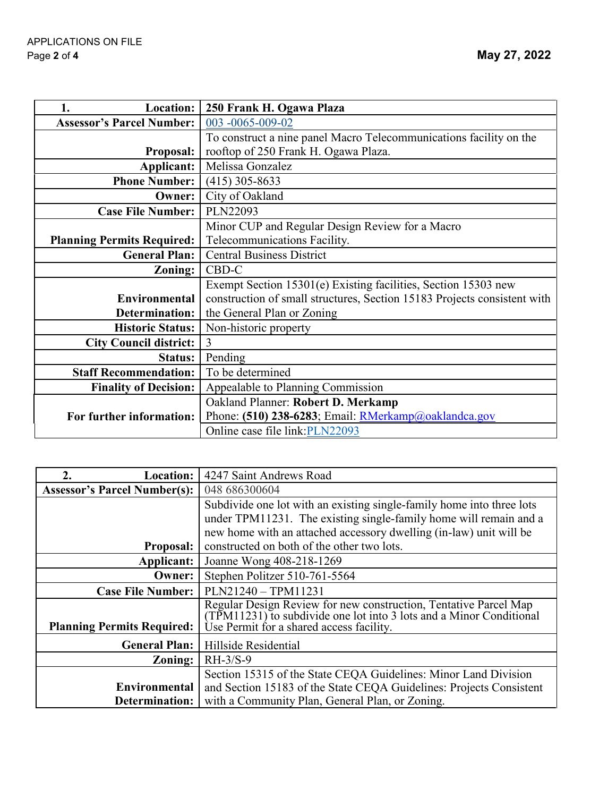| <b>Location:</b><br>1.            | 250 Frank H. Ogawa Plaza                                                 |
|-----------------------------------|--------------------------------------------------------------------------|
| <b>Assessor's Parcel Number:</b>  | 003 -0065-009-02                                                         |
|                                   | To construct a nine panel Macro Telecommunications facility on the       |
| <b>Proposal:</b>                  | rooftop of 250 Frank H. Ogawa Plaza.                                     |
| Applicant:                        | Melissa Gonzalez                                                         |
| <b>Phone Number:</b>              | $(415)$ 305-8633                                                         |
| Owner:                            | City of Oakland                                                          |
| <b>Case File Number:</b>          | PLN22093                                                                 |
|                                   | Minor CUP and Regular Design Review for a Macro                          |
| <b>Planning Permits Required:</b> | Telecommunications Facility.                                             |
| <b>General Plan:</b>              | <b>Central Business District</b>                                         |
| Zoning:                           | CBD-C                                                                    |
|                                   | Exempt Section 15301(e) Existing facilities, Section 15303 new           |
| Environmental                     | construction of small structures, Section 15183 Projects consistent with |
| <b>Determination:</b>             | the General Plan or Zoning                                               |
| <b>Historic Status:</b>           | Non-historic property                                                    |
| <b>City Council district:</b>     | 3                                                                        |
| Status:                           | Pending                                                                  |
| <b>Staff Recommendation:</b>      | To be determined                                                         |
| <b>Finality of Decision:</b>      | Appealable to Planning Commission                                        |
|                                   | Oakland Planner: Robert D. Merkamp                                       |
| For further information:          | Phone: (510) 238-6283; Email: RMerkamp@oaklandca.gov                     |
|                                   | Online case file link:PLN22093                                           |

| 2.<br>Location:                     | 4247 Saint Andrews Road                                                                                                                 |
|-------------------------------------|-----------------------------------------------------------------------------------------------------------------------------------------|
| <b>Assessor's Parcel Number(s):</b> | 048 686300604                                                                                                                           |
|                                     | Subdivide one lot with an existing single-family home into three lots                                                                   |
|                                     | under TPM11231. The existing single-family home will remain and a                                                                       |
|                                     | new home with an attached accessory dwelling (in-law) unit will be                                                                      |
| <b>Proposal:</b>                    | constructed on both of the other two lots.                                                                                              |
| Applicant:                          | Joanne Wong 408-218-1269                                                                                                                |
| Owner:                              | Stephen Politzer 510-761-5564                                                                                                           |
| <b>Case File Number:</b>            | PLN21240 - TPM11231                                                                                                                     |
|                                     | Regular Design Review for new construction, Tentative Parcel Map<br>(TPM11231) to subdivide one lot into 3 lots and a Minor Conditional |
| <b>Planning Permits Required:</b>   | Ùse Permit for a shared access facility.                                                                                                |
| <b>General Plan:</b>                | Hillside Residential                                                                                                                    |
| <b>Zoning:</b>                      | $RH-3/S-9$                                                                                                                              |
|                                     | Section 15315 of the State CEQA Guidelines: Minor Land Division                                                                         |
| Environmental                       | and Section 15183 of the State CEQA Guidelines: Projects Consistent                                                                     |
| Determination:                      | with a Community Plan, General Plan, or Zoning.                                                                                         |